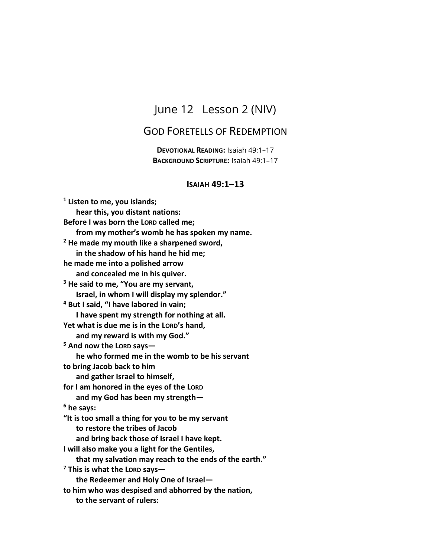# June 12 Lesson 2 (NIV)

## GOD FORETELLS OF REDEMPTION

**DEVOTIONAL READING:** Isaiah 49:1–17 **BACKGROUND SCRIPTURE:** Isaiah 49:1–17

#### **ISAIAH 49:1–13**

**1 Listen to me, you islands; hear this, you distant nations: Before I was born the LORD called me; from my mother's womb he has spoken my name. <sup>2</sup> He made my mouth like a sharpened sword, in the shadow of his hand he hid me; he made me into a polished arrow and concealed me in his quiver. <sup>3</sup> He said to me, "You are my servant, Israel, in whom I will display my splendor." <sup>4</sup> But I said, "I have labored in vain; I have spent my strength for nothing at all. Yet what is due me is in the LORD's hand, and my reward is with my God." <sup>5</sup> And now the LORD says he who formed me in the womb to be his servant to bring Jacob back to him and gather Israel to himself, for I am honored in the eyes of the LORD and my God has been my strength— <sup>6</sup> he says: "It is too small a thing for you to be my servant to restore the tribes of Jacob and bring back those of Israel I have kept. I will also make you a light for the Gentiles, that my salvation may reach to the ends of the earth." <sup>7</sup> This is what the LORD says the Redeemer and Holy One of Israel to him who was despised and abhorred by the nation, to the servant of rulers:**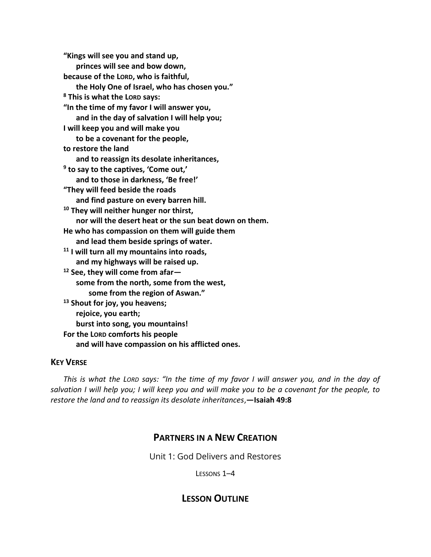**"Kings will see you and stand up, princes will see and bow down, because of the LORD, who is faithful, the Holy One of Israel, who has chosen you." <sup>8</sup> This is what the LORD says: "In the time of my favor I will answer you, and in the day of salvation I will help you; I will keep you and will make you to be a covenant for the people, to restore the land and to reassign its desolate inheritances, 9 to say to the captives, 'Come out,' and to those in darkness, 'Be free!' "They will feed beside the roads and find pasture on every barren hill. <sup>10</sup> They will neither hunger nor thirst, nor will the desert heat or the sun beat down on them. He who has compassion on them will guide them and lead them beside springs of water. <sup>11</sup> I will turn all my mountains into roads, and my highways will be raised up. <sup>12</sup> See, they will come from afar some from the north, some from the west, some from the region of Aswan." <sup>13</sup> Shout for joy, you heavens; rejoice, you earth; burst into song, you mountains! For the LORD comforts his people and will have compassion on his afflicted ones.**

### **KEY VERSE**

*This is what the LORD says: "In the time of my favor I will answer you, and in the day of salvation I will help you; I will keep you and will make you to be a covenant for the people, to restore the land and to reassign its desolate inheritances*,**—Isaiah 49:8**

## **PARTNERS IN A NEW CREATION**

Unit 1: God Delivers and Restores

LESSONS 1–4

## **LESSON OUTLINE**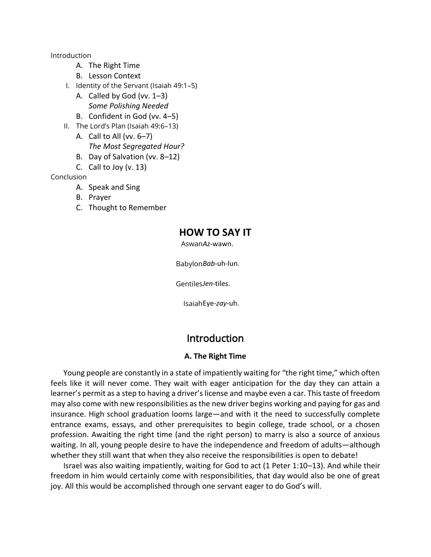#### Introduction

- A. The Right Time
- B. Lesson Context
- I. Identity of the Servant (Isaiah 49:1–5)
	- A. Called by God (vv. 1–3) *Some Polishing Needed*
- B. Confident in God (vv. 4–5) II. The Lord's Plan (Isaiah 49:6–13)
	- A. Call to All (vv. 6–7) *The Most Segregated Hour?*
	- B. Day of Salvation (vv. 8–12)
	- C. Call to Joy (v. 13)

#### Conclusion

- A. Speak and Sing
- B. Prayer
- C. Thought to Remember

## **HOW TO SAY IT**

Aswan*Az*-wawn.

Babylon*Bab-*uh-lun.

Gentiles*Jen-*tiles.

IsaiahEye-*zay-*uh.

## Introduction

#### **A. The Right Time**

Young people are constantly in a state of impatiently waiting for "the right time," which often feels like it will never come. They wait with eager anticipation for the day they can attain a learner's permit as a step to having a driver's license and maybe even a car. This taste of freedom may also come with new responsibilities as the new driver begins working and paying for gas and insurance. High school graduation looms large—and with it the need to successfully complete entrance exams, essays, and other prerequisites to begin college, trade school, or a chosen profession. Awaiting the right time (and the right person) to marry is also a source of anxious waiting. In all, young people desire to have the independence and freedom of adults—although whether they still want that when they also receive the responsibilities is open to debate!

Israel was also waiting impatiently, waiting for God to act (1 Peter 1:10–13). And while their freedom in him would certainly come with responsibilities, that day would also be one of great joy. All this would be accomplished through one servant eager to do God's will.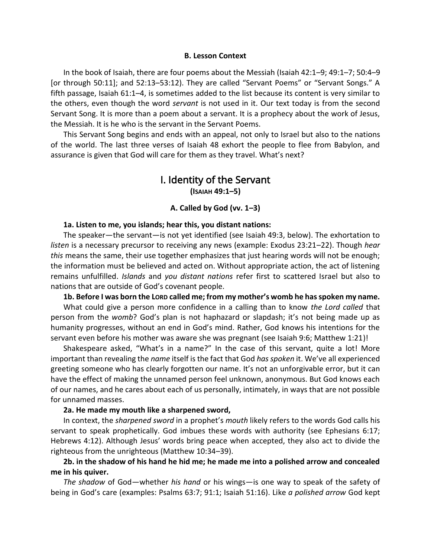#### **B. Lesson Context**

In the book of Isaiah, there are four poems about the Messiah (Isaiah 42:1–9; 49:1–7; 50:4–9 [or through 50:11]; and 52:13–53:12). They are called "Servant Poems" or "Servant Songs." A fifth passage, Isaiah 61:1–4, is sometimes added to the list because its content is very similar to the others, even though the word *servant* is not used in it. Our text today is from the second Servant Song. It is more than a poem about a servant. It is a prophecy about the work of Jesus, the Messiah. It is he who is the servant in the Servant Poems.

This Servant Song begins and ends with an appeal, not only to Israel but also to the nations of the world. The last three verses of Isaiah 48 exhort the people to flee from Babylon, and assurance is given that God will care for them as they travel. What's next?

## I. Identity of the Servant

**(ISAIAH 49:1–5)**

### **A. Called by God (vv. 1–3)**

#### **1a. Listen to me, you islands; hear this, you distant nations:**

The speaker—the servant—is not yet identified (see Isaiah 49:3, below). The exhortation to *listen* is a necessary precursor to receiving any news (example: Exodus 23:21–22). Though *hear this* means the same, their use together emphasizes that just hearing words will not be enough; the information must be believed and acted on. Without appropriate action, the act of listening remains unfulfilled. *Islands* and *you distant nations* refer first to scattered Israel but also to nations that are outside of God's covenant people.

#### **1b. Before I was born the LORD called me; from my mother's womb he has spoken my name.**

What could give a person more confidence in a calling than to know *the Lord called* that person from the *womb*? God's plan is not haphazard or slapdash; it's not being made up as humanity progresses, without an end in God's mind. Rather, God knows his intentions for the servant even before his mother was aware she was pregnant (see Isaiah 9:6; Matthew 1:21)!

Shakespeare asked, "What's in a name?" In the case of this servant, quite a lot! More important than revealing the *name* itself is the fact that God *has spoken* it. We've all experienced greeting someone who has clearly forgotten our name. It's not an unforgivable error, but it can have the effect of making the unnamed person feel unknown, anonymous. But God knows each of our names, and he cares about each of us personally, intimately, in ways that are not possible for unnamed masses.

#### **2a. He made my mouth like a sharpened sword,**

In context, the *sharpened sword* in a prophet's *mouth* likely refers to the words God calls his servant to speak prophetically. God imbues these words with authority (see Ephesians 6:17; Hebrews 4:12). Although Jesus' words bring peace when accepted, they also act to divide the righteous from the unrighteous (Matthew 10:34–39).

### **2b. in the shadow of his hand he hid me; he made me into a polished arrow and concealed me in his quiver.**

*The shadow* of God—whether *his hand* or his wings—is one way to speak of the safety of being in God's care (examples: Psalms 63:7; 91:1; Isaiah 51:16). Like *a polished arrow* God kept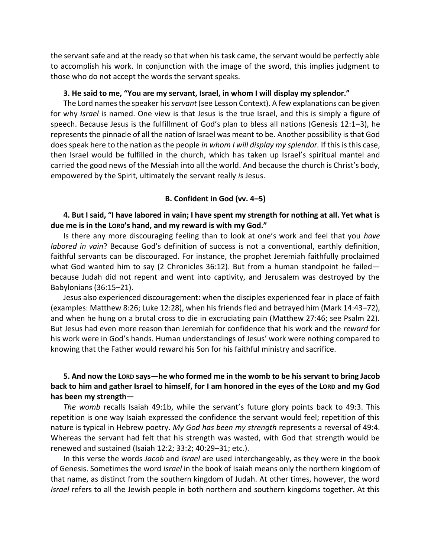the servant safe and at the ready so that when his task came, the servant would be perfectly able to accomplish his work. In conjunction with the image of the sword, this implies judgment to those who do not accept the words the servant speaks.

#### **3. He said to me, "You are my servant, Israel, in whom I will display my splendor."**

The Lord names the speaker his *servant* (see Lesson Context). A few explanations can be given for why *Israel* is named. One view is that Jesus is the true Israel, and this is simply a figure of speech. Because Jesus is the fulfillment of God's plan to bless all nations (Genesis 12:1–3), he represents the pinnacle of all the nation of Israel was meant to be. Another possibility is that God does speak here to the nation as the people *in whom I will display my splendor.* If this is this case, then Israel would be fulfilled in the church, which has taken up Israel's spiritual mantel and carried the good news of the Messiah into all the world. And because the church is Christ's body, empowered by the Spirit, ultimately the servant really *is* Jesus.

#### **B. Confident in God (vv. 4–5)**

### **4. But I said, "I have labored in vain; I have spent my strength for nothing at all. Yet what is due me is in the LORD's hand, and my reward is with my God."**

Is there any more discouraging feeling than to look at one's work and feel that you *have labored in vain*? Because God's definition of success is not a conventional, earthly definition, faithful servants can be discouraged. For instance, the prophet Jeremiah faithfully proclaimed what God wanted him to say (2 Chronicles 36:12). But from a human standpoint he failedbecause Judah did not repent and went into captivity, and Jerusalem was destroyed by the Babylonians (36:15–21).

Jesus also experienced discouragement: when the disciples experienced fear in place of faith (examples: Matthew 8:26; Luke 12:28), when his friends fled and betrayed him (Mark 14:43–72), and when he hung on a brutal cross to die in excruciating pain (Matthew 27:46; see Psalm 22). But Jesus had even more reason than Jeremiah for confidence that his work and the *reward* for his work were in God's hands. Human understandings of Jesus' work were nothing compared to knowing that the Father would reward his Son for his faithful ministry and sacrifice.

### **5. And now the LORD says—he who formed me in the womb to be his servant to bring Jacob back to him and gather Israel to himself, for I am honored in the eyes of the LORD and my God has been my strength—**

*The womb* recalls Isaiah 49:1b, while the servant's future glory points back to 49:3. This repetition is one way Isaiah expressed the confidence the servant would feel; repetition of this nature is typical in Hebrew poetry. *My God has been my strength* represents a reversal of 49:4. Whereas the servant had felt that his strength was wasted, with God that strength would be renewed and sustained (Isaiah 12:2; 33:2; 40:29–31; etc.).

In this verse the words *Jacob* and *Israel* are used interchangeably, as they were in the book of Genesis. Sometimes the word *Israel* in the book of Isaiah means only the northern kingdom of that name, as distinct from the southern kingdom of Judah. At other times, however, the word *Israel* refers to all the Jewish people in both northern and southern kingdoms together. At this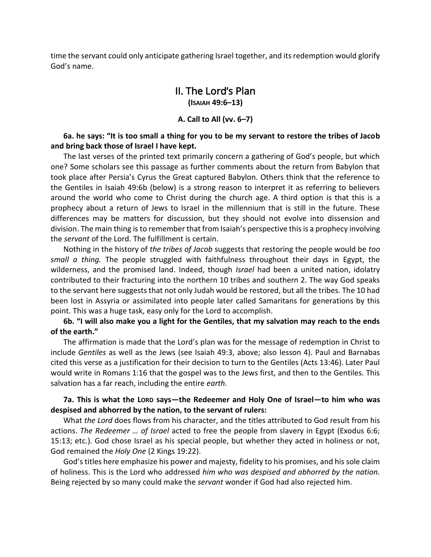time the servant could only anticipate gathering Israel together, and its redemption would glorify God's name.

## II. The Lord's Plan

**(ISAIAH 49:6–13)**

### **A. Call to All (vv. 6–7)**

**6a. he says: "It is too small a thing for you to be my servant to restore the tribes of Jacob and bring back those of Israel I have kept.**

The last verses of the printed text primarily concern a gathering of God's people, but which one? Some scholars see this passage as further comments about the return from Babylon that took place after Persia's Cyrus the Great captured Babylon. Others think that the reference to the Gentiles in Isaiah 49:6b (below) is a strong reason to interpret it as referring to believers around the world who come to Christ during the church age. A third option is that this is a prophecy about a return of Jews to Israel in the millennium that is still in the future. These differences may be matters for discussion, but they should not evolve into dissension and division. The main thing is to remember that from Isaiah's perspective this is a prophecy involving the *servant* of the Lord. The fulfillment is certain.

Nothing in the history of *the tribes of Jacob* suggests that restoring the people would be *too small a thing.* The people struggled with faithfulness throughout their days in Egypt, the wilderness, and the promised land. Indeed, though *Israel* had been a united nation, idolatry contributed to their fracturing into the northern 10 tribes and southern 2. The way God speaks to the servant here suggests that not only Judah would be restored, but all the tribes. The 10 had been lost in Assyria or assimilated into people later called Samaritans for generations by this point. This was a huge task, easy only for the Lord to accomplish.

### **6b. "I will also make you a light for the Gentiles, that my salvation may reach to the ends of the earth."**

The affirmation is made that the Lord's plan was for the message of redemption in Christ to include *Gentiles* as well as the Jews (see Isaiah 49:3, above; also lesson 4). Paul and Barnabas cited this verse as a justification for their decision to turn to the Gentiles (Acts 13:46). Later Paul would write in Romans 1:16 that the gospel was to the Jews first, and then to the Gentiles. This salvation has a far reach, including the entire *earth.*

### **7a. This is what the LORD says—the Redeemer and Holy One of Israel—to him who was despised and abhorred by the nation, to the servant of rulers:**

What *the Lord* does flows from his character, and the titles attributed to God result from his actions. *The Redeemer … of Israel* acted to free the people from slavery in Egypt (Exodus 6:6; 15:13; etc.). God chose Israel as his special people, but whether they acted in holiness or not, God remained the *Holy One* (2 Kings 19:22).

God's titles here emphasize his power and majesty, fidelity to his promises, and his sole claim of holiness. This is the Lord who addressed *him who was despised and abhorred by the nation.* Being rejected by so many could make the *servant* wonder if God had also rejected him.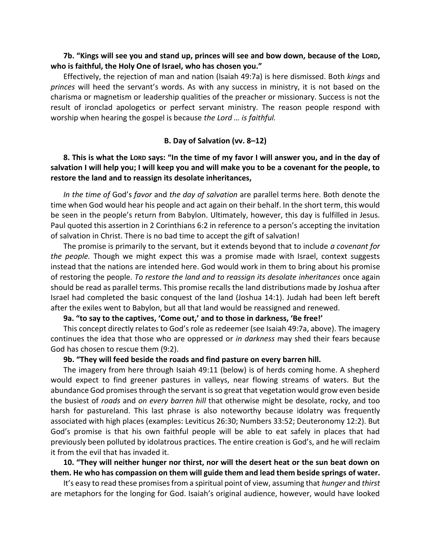### **7b. "Kings will see you and stand up, princes will see and bow down, because of the LORD, who is faithful, the Holy One of Israel, who has chosen you."**

Effectively, the rejection of man and nation (Isaiah 49:7a) is here dismissed. Both *kings* and *princes* will heed the servant's words. As with any success in ministry, it is not based on the charisma or magnetism or leadership qualities of the preacher or missionary. Success is not the result of ironclad apologetics or perfect servant ministry. The reason people respond with worship when hearing the gospel is because *the Lord … is faithful.*

#### **B. Day of Salvation (vv. 8–12)**

### **8. This is what the LORD says: "In the time of my favor I will answer you, and in the day of salvation I will help you; I will keep you and will make you to be a covenant for the people, to restore the land and to reassign its desolate inheritances,**

*In the time of* God's *favor* and *the day of salvation* are parallel terms here. Both denote the time when God would hear his people and act again on their behalf. In the short term, this would be seen in the people's return from Babylon. Ultimately, however, this day is fulfilled in Jesus. Paul quoted this assertion in 2 Corinthians 6:2 in reference to a person's accepting the invitation of salvation in Christ. There is no bad time to accept the gift of salvation!

The promise is primarily to the servant, but it extends beyond that to include *a covenant for the people.* Though we might expect this was a promise made with Israel, context suggests instead that the nations are intended here. God would work in them to bring about his promise of restoring the people. *To restore the land and to reassign its desolate inheritances* once again should be read as parallel terms. This promise recalls the land distributions made by Joshua after Israel had completed the basic conquest of the land (Joshua 14:1). Judah had been left bereft after the exiles went to Babylon, but all that land would be reassigned and renewed.

#### **9a. "to say to the captives, 'Come out,' and to those in darkness, 'Be free!'**

This concept directly relates to God's role as redeemer (see Isaiah 49:7a, above). The imagery continues the idea that those who are oppressed or *in darkness* may shed their fears because God has chosen to rescue them (9:2).

#### **9b. "They will feed beside the roads and find pasture on every barren hill.**

The imagery from here through Isaiah 49:11 (below) is of herds coming home. A shepherd would expect to find greener pastures in valleys, near flowing streams of waters. But the abundance God promises through the servant is so great that vegetation would grow even beside the busiest of *roads* and *on every barren hill* that otherwise might be desolate, rocky, and too harsh for pastureland. This last phrase is also noteworthy because idolatry was frequently associated with high places (examples: Leviticus 26:30; Numbers 33:52; Deuteronomy 12:2). But God's promise is that his own faithful people will be able to eat safely in places that had previously been polluted by idolatrous practices. The entire creation is God's, and he will reclaim it from the evil that has invaded it.

**10. "They will neither hunger nor thirst, nor will the desert heat or the sun beat down on them. He who has compassion on them will guide them and lead them beside springs of water.**

It's easy to read these promises from a spiritual point of view, assuming that *hunger* and *thirst* are metaphors for the longing for God. Isaiah's original audience, however, would have looked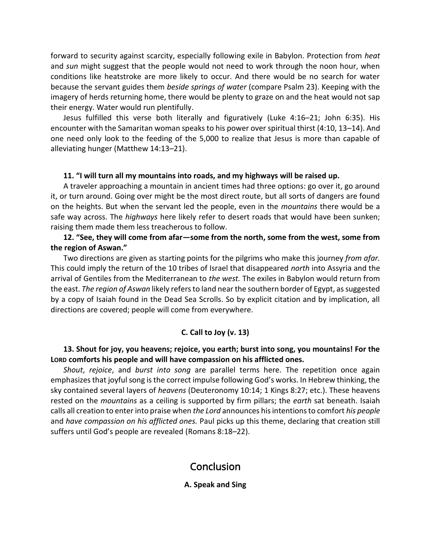forward to security against scarcity, especially following exile in Babylon. Protection from *heat* and *sun* might suggest that the people would not need to work through the noon hour, when conditions like heatstroke are more likely to occur. And there would be no search for water because the servant guides them *beside springs of water* (compare Psalm 23). Keeping with the imagery of herds returning home, there would be plenty to graze on and the heat would not sap their energy. Water would run plentifully.

Jesus fulfilled this verse both literally and figuratively (Luke 4:16–21; John 6:35). His encounter with the Samaritan woman speaks to his power over spiritual thirst (4:10, 13–14). And one need only look to the feeding of the 5,000 to realize that Jesus is more than capable of alleviating hunger (Matthew 14:13–21).

### **11. "I will turn all my mountains into roads, and my highways will be raised up.**

A traveler approaching a mountain in ancient times had three options: go over it, go around it, or turn around. Going over might be the most direct route, but all sorts of dangers are found on the heights. But when the servant led the people, even in the *mountains* there would be a safe way across. The *highways* here likely refer to desert roads that would have been sunken; raising them made them less treacherous to follow.

### **12. "See, they will come from afar—some from the north, some from the west, some from the region of Aswan."**

Two directions are given as starting points for the pilgrims who make this journey *from afar.* This could imply the return of the 10 tribes of Israel that disappeared *north* into Assyria and the arrival of Gentiles from the Mediterranean to *the west.* The exiles in Babylon would return from the east. *The region of Aswan* likely refers to land near the southern border of Egypt, as suggested by a copy of Isaiah found in the Dead Sea Scrolls. So by explicit citation and by implication, all directions are covered; people will come from everywhere.

### **C. Call to Joy (v. 13)**

### **13. Shout for joy, you heavens; rejoice, you earth; burst into song, you mountains! For the LORD comforts his people and will have compassion on his afflicted ones.**

*Shout*, *rejoice*, and *burst into song* are parallel terms here. The repetition once again emphasizes that joyful song is the correct impulse following God's works. In Hebrew thinking, the sky contained several layers of *heavens* (Deuteronomy 10:14; 1 Kings 8:27; etc.). These heavens rested on the *mountains* as a ceiling is supported by firm pillars; the *earth* sat beneath. Isaiah calls all creation to enter into praise when *the Lord* announces his intentions to comfort *his people* and *have compassion on his afflicted ones.* Paul picks up this theme, declaring that creation still suffers until God's people are revealed (Romans 8:18–22).

# **Conclusion**

### **A. Speak and Sing**